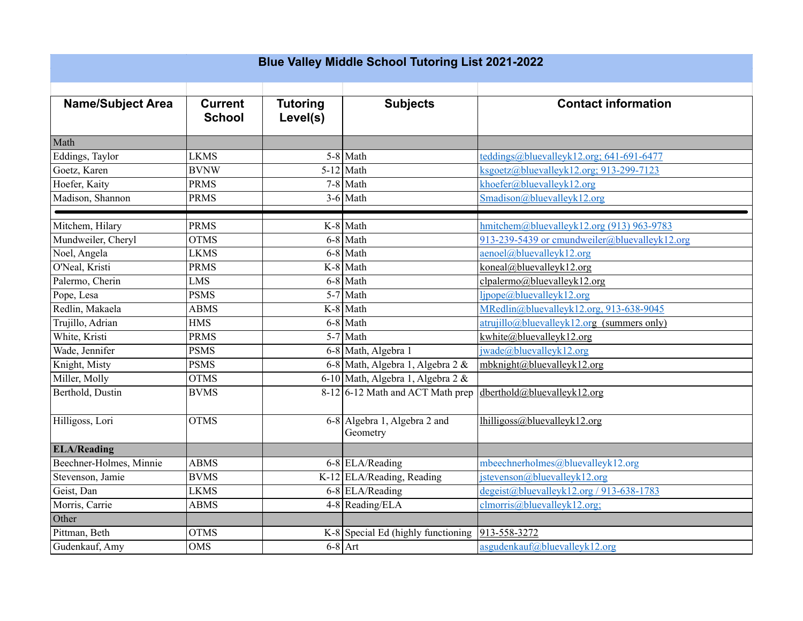| <b>Blue Valley Middle School Tutoring List 2021-2022</b> |                                 |                             |                                          |                                                                                  |  |  |  |  |
|----------------------------------------------------------|---------------------------------|-----------------------------|------------------------------------------|----------------------------------------------------------------------------------|--|--|--|--|
| <b>Name/Subject Area</b>                                 | <b>Current</b><br><b>School</b> | <b>Tutoring</b><br>Level(s) | <b>Subjects</b>                          | <b>Contact information</b>                                                       |  |  |  |  |
| Math                                                     |                                 |                             |                                          |                                                                                  |  |  |  |  |
| Eddings, Taylor                                          | <b>LKMS</b>                     |                             | $5-8$ Math                               | teddings@bluevalleyk12.org; 641-691-6477                                         |  |  |  |  |
| Goetz, Karen                                             | <b>BVNW</b>                     |                             | $5-12$ Math                              | $ksgoetz@bluevalleyk12.org; 913-299-7123$                                        |  |  |  |  |
| Hoefer, Kaity                                            | <b>PRMS</b>                     |                             | $7-8$ Math                               | khoefer@bluevalleyk12.org                                                        |  |  |  |  |
| Madison, Shannon                                         | <b>PRMS</b>                     |                             | $3-6$ Math                               | Smadison@bluevalleyk12.org                                                       |  |  |  |  |
| Mitchem, Hilary                                          | <b>PRMS</b>                     |                             | $K-8$ Math                               | hmitchem@bluevalleyk12.org (913) 963-9783                                        |  |  |  |  |
| Mundweiler, Cheryl                                       | <b>OTMS</b>                     |                             | $6-8$ Math                               | 913-239-5439 or cmundweiler@bluevalleyk12.org                                    |  |  |  |  |
| Noel, Angela                                             | <b>LKMS</b>                     |                             | $6-8$ Math                               | aenoel@bluevalleyk12.org                                                         |  |  |  |  |
| O'Neal, Kristi                                           | <b>PRMS</b>                     |                             | $K-8$ Math                               | koneal@bluevalleyk12.org                                                         |  |  |  |  |
| Palermo, Cherin                                          | <b>LMS</b>                      |                             | $6-8$ Math                               | clpalermo@bluevalleyk12.org                                                      |  |  |  |  |
| Pope, Lesa                                               | <b>PSMS</b>                     |                             | $5-7$ Math                               | ljpope@bluevalleyk12.org                                                         |  |  |  |  |
| Redlin, Makaela                                          | <b>ABMS</b>                     |                             | $K-8$ Math                               | MRedlin@bluevalleyk12.org, 913-638-9045                                          |  |  |  |  |
| Trujillo, Adrian                                         | <b>HMS</b>                      |                             | 6-8 Math                                 | $\frac{atrujillo@bluevalleyk12.org}{atrujillo@bluevalleyk12.org}$ (summers only) |  |  |  |  |
| White, Kristi                                            | <b>PRMS</b>                     |                             | $5-7$ Math                               | kwhite@bluevalleyk12.org                                                         |  |  |  |  |
| Wade, Jennifer                                           | <b>PSMS</b>                     |                             | 6-8 Math, Algebra 1                      | jwade@bluevalleyk12.org                                                          |  |  |  |  |
| Knight, Misty                                            | <b>PSMS</b>                     |                             | 6-8 Math, Algebra 1, Algebra 2 &         | mbknight@bluevalleyk12.org                                                       |  |  |  |  |
| Miller, Molly                                            | <b>OTMS</b>                     |                             | 6-10 Math, Algebra 1, Algebra 2 &        |                                                                                  |  |  |  |  |
| Berthold, Dustin                                         | <b>BVMS</b>                     |                             | $8-12$ 6-12 Math and ACT Math prep       | dberthold@bluevalleyk12.org                                                      |  |  |  |  |
| Hilligoss, Lori                                          | <b>OTMS</b>                     |                             | 6-8 Algebra 1, Algebra 2 and<br>Geometry | lhilligoss@bluevalleyk12.org                                                     |  |  |  |  |
| <b>ELA/Reading</b>                                       |                                 |                             |                                          |                                                                                  |  |  |  |  |
| Beechner-Holmes, Minnie                                  | <b>ABMS</b>                     |                             | 6-8 ELA/Reading                          | mbeechnerholmes@bluevalleyk12.org                                                |  |  |  |  |
| Stevenson, Jamie                                         | <b>BVMS</b>                     |                             | K-12 ELA/Reading, Reading                | jstevenson@bluevalleyk12.org                                                     |  |  |  |  |
| Geist, Dan                                               | <b>LKMS</b>                     |                             | 6-8 ELA/Reading                          | $degeist@bluevalleyk12.org/913-638-1783$                                         |  |  |  |  |
| Morris, Carrie                                           | <b>ABMS</b>                     |                             | 4-8 Reading/ELA                          | clmoris@bluevalleyk12.org;                                                       |  |  |  |  |
| Other                                                    |                                 |                             |                                          |                                                                                  |  |  |  |  |
| Pittman, Beth                                            | <b>OTMS</b>                     |                             | $K-8$ Special Ed (highly functioning     | 913-558-3272                                                                     |  |  |  |  |
| Gudenkauf, Amy                                           | <b>OMS</b>                      |                             | $6-8$ Art                                | asgudenkauf@bluevalleyk12.org                                                    |  |  |  |  |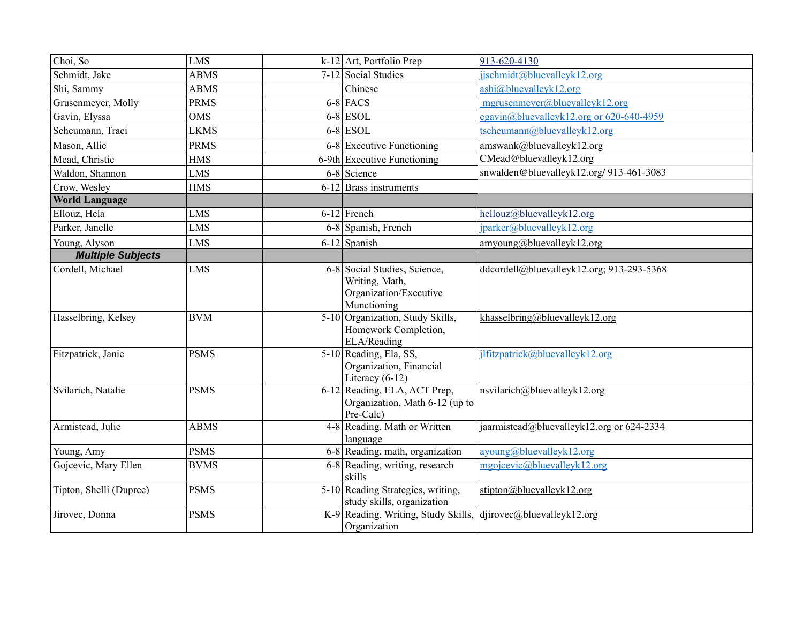| Choi, So                 | <b>LMS</b>  | 913-620-4130<br>$k-12$ Art, Portfolio Prep                                                                                           |
|--------------------------|-------------|--------------------------------------------------------------------------------------------------------------------------------------|
| Schmidt, Jake            | <b>ABMS</b> | 7-12 Social Studies<br>jjschmidt@bluevalleyk12.org                                                                                   |
| Shi, Sammy               | <b>ABMS</b> | ashi@bluevalleyk12.org<br>Chinese                                                                                                    |
| Grusenmeyer, Molly       | <b>PRMS</b> | $6-8$ FACS<br>mgrusenmeyer@bluevalleyk12.org                                                                                         |
| Gavin, Elyssa            | <b>OMS</b>  | $6-8$ ESOL<br>egavin@bluevalleyk12.org or 620-640-4959                                                                               |
| Scheumann, Traci         | <b>LKMS</b> | $6-8$ ESOL<br>tscheumann@bluevalleyk12.org                                                                                           |
| Mason, Allie             | <b>PRMS</b> | 6-8 Executive Functioning<br>amswank@bluevalleyk12.org                                                                               |
| Mead, Christie           | <b>HMS</b>  | CMead@bluevalleyk12.org<br>6-9th Executive Functioning                                                                               |
| Waldon, Shannon          | <b>LMS</b>  | snwalden@bluevalleyk12.org/913-461-3083<br>6-8 Science                                                                               |
| Crow, Wesley             | <b>HMS</b>  | 6-12 Brass instruments                                                                                                               |
| <b>World Language</b>    |             |                                                                                                                                      |
| Ellouz, Hela             | <b>LMS</b>  | $6-12$ French<br>hellouz@bluevalleyk12.org                                                                                           |
| Parker, Janelle          | <b>LMS</b>  | jparker@bluevalleyk12.org<br>6-8 Spanish, French                                                                                     |
| Young, Alyson            | <b>LMS</b>  | $6-12$ Spanish<br>amyoung@bluevalleyk12.org                                                                                          |
| <b>Multiple Subjects</b> |             |                                                                                                                                      |
| Cordell, Michael         | <b>LMS</b>  | 6-8 Social Studies, Science,<br>ddcordell@bluevalleyk12.org; 913-293-5368<br>Writing, Math,<br>Organization/Executive<br>Munctioning |
| Hasselbring, Kelsey      | <b>BVM</b>  | 5-10 Organization, Study Skills,<br>khasselbring@bluevalleyk12.org<br>Homework Completion,<br>ELA/Reading                            |
| Fitzpatrick, Janie       | <b>PSMS</b> | 5-10 Reading, Ela, SS,<br>jlfitzpatrick@bluevalleyk12.org<br>Organization, Financial<br>Literacy $(6-12)$                            |
| Svilarich, Natalie       | <b>PSMS</b> | 6-12 Reading, ELA, ACT Prep,<br>nsvilarich@bluevalleyk12.org<br>Organization, Math 6-12 (up to<br>Pre-Calc)                          |
| Armistead, Julie         | <b>ABMS</b> | 4-8 Reading, Math or Written<br>jaarmistead@bluevalleyk12.org or 624-2334<br>language                                                |
| Young, Amy               | <b>PSMS</b> | 6-8 Reading, math, organization<br>ayoung@bluevalleyk12.org                                                                          |
| Gojcevic, Mary Ellen     | <b>BVMS</b> | 6-8 Reading, writing, research<br>mgojcevic@bluevalleyk12.org<br>skills                                                              |
| Tipton, Shelli (Dupree)  | <b>PSMS</b> | 5-10 Reading Strategies, writing,<br>stipton@bluevalleyk12.org<br>study skills, organization                                         |
| Jirovec, Donna           | <b>PSMS</b> | K-9 Reading, Writing, Study Skills,<br>$dijirovec@$ bluevalleyk12.org<br>Organization                                                |